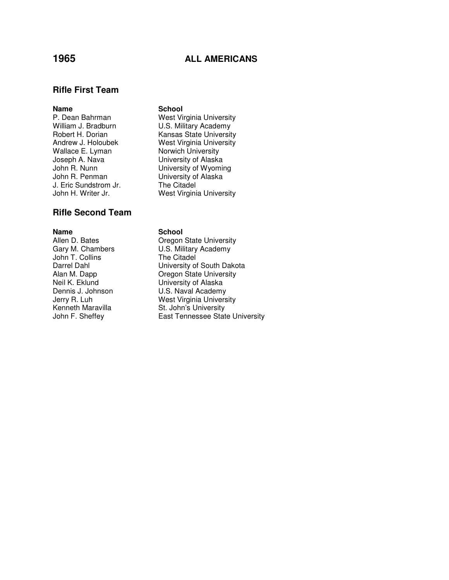# **1965 ALL AMERICANS**

## **Rifle First Team**

### **Name** School

Wallace E. Lyman Norwich University<br>Joseph A. Nava **Norwich University** of Alaska John R. Penman **University of Alaska**<br>J. Eric Sundstrom Jr. The Citadel J. Eric Sundstrom Jr.<br>John H. Writer Jr.

# **Rifle Second Team**

John T. Collins<br>Darrel Dahl

P. Dean Bahrman West Virginia University William J. Bradburn **U.S. Military Academy**<br>
Robert H. Dorian **M. Kansas State Universit** Kansas State University Andrew J. Holoubek West Virginia University University of Alaska John R. Nunn **University of Wyoming** West Virginia University

### **Name** School

Allen D. Bates **Callen B. Bates** Oregon State University Gary M. Chambers U.S. Military Academy<br>John T. Collins The Citadel Darrel Dahl **Danish Communist University of South Dakota**<br>Alan M. Dapp **Communist Communist Communist Oregon State University Oregon State University** Neil K. Eklund University of Alaska<br>Dennis J. Johnson U.S. Naval Academy U.S. Naval Academy Jerry R. Luh West Virginia University Kenneth Maravilla<br>
John F. Sheffey<br>
Cast Tennessee Stat East Tennessee State University